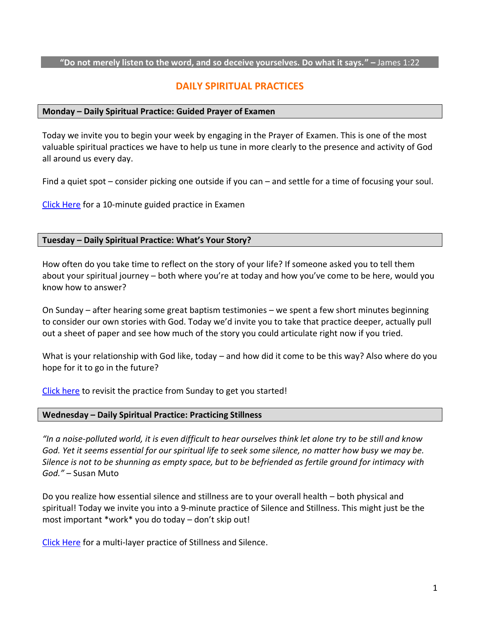#### **"Do not merely listen to the word, and so deceive yourselves. Do what it says." –** James 1:22

# **DAILY SPIRITUAL PRACTICES**

## **Monday – Daily Spiritual Practice: Guided Prayer of Examen**

Today we invite you to begin your week by engaging in the Prayer of Examen. This is one of the most valuable spiritual practices we have to help us tune in more clearly to the presence and activity of God all around us every day.

Find a quiet spot – consider picking one outside if you can – and settle for a time of focusing your soul.

[Click Here](https://www.youtube.com/watch?v=JvN71HtMgII&t=2s) for a 10-minute guided practice in Examen

#### **Tuesday – Daily Spiritual Practice: What's Your Story?**

How often do you take time to reflect on the story of your life? If someone asked you to tell them about your spiritual journey – both where you're at today and how you've come to be here, would you know how to answer?

On Sunday – after hearing some great baptism testimonies – we spent a few short minutes beginning to consider our own stories with God. Today we'd invite you to take that practice deeper, actually pull out a sheet of paper and see how much of the story you could articulate right now if you tried.

What is your relationship with God like, today – and how did it come to be this way? Also where do you hope for it to go in the future?

[Click here](https://www.youtube.com/watch?v=scdg14ZihMw) to revisit the practice from Sunday to get you started!

#### **Wednesday – Daily Spiritual Practice: Practicing Stillness**

*"In a noise-polluted world, it is even difficult to hear ourselves think let alone try to be still and know God. Yet it seems essential for our spiritual life to seek some silence, no matter how busy we may be. Silence is not to be shunning as empty space, but to be befriended as fertile ground for intimacy with God."* – Susan Muto

Do you realize how essential silence and stillness are to your overall health – both physical and spiritual! Today we invite you into a 9-minute practice of Silence and Stillness. This might just be the most important \*work\* you do today – don't skip out!

[Click Here](https://www.youtube.com/watch?v=EtHpioGreSg) for a multi-layer practice of Stillness and Silence.